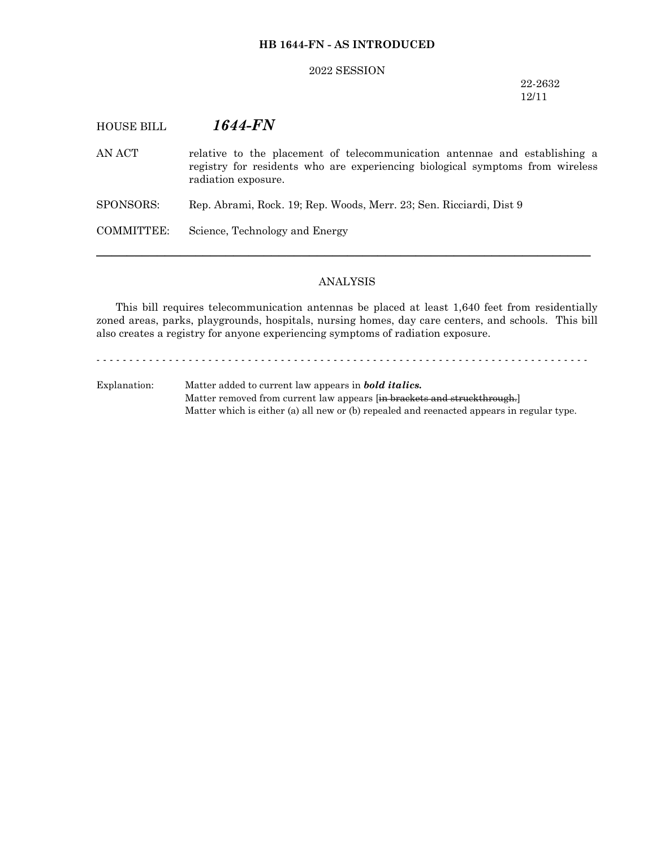## **HB 1644-FN - AS INTRODUCED**

#### 2022 SESSION

22-2632 12/11

# HOUSE BILL *1644-FN*

AN ACT relative to the placement of telecommunication antennae and establishing a registry for residents who are experiencing biological symptoms from wireless radiation exposure.

SPONSORS: Rep. Abrami, Rock. 19; Rep. Woods, Merr. 23; Sen. Ricciardi, Dist 9

COMMITTEE: Science, Technology and Energy

#### ANALYSIS

─────────────────────────────────────────────────────────────────

This bill requires telecommunication antennas be placed at least 1,640 feet from residentially zoned areas, parks, playgrounds, hospitals, nursing homes, day care centers, and schools. This bill also creates a registry for anyone experiencing symptoms of radiation exposure.

- - - - - - - - - - - - - - - - - - - - - - - - - - - - - - - - - - - - - - - - - - - - - - - - - - - - - - - - - - - - - - - - - - - - - - - - - - -

Explanation: Matter added to current law appears in *bold italics.* Matter removed from current law appears [in brackets and struckthrough.] Matter which is either (a) all new or (b) repealed and reenacted appears in regular type.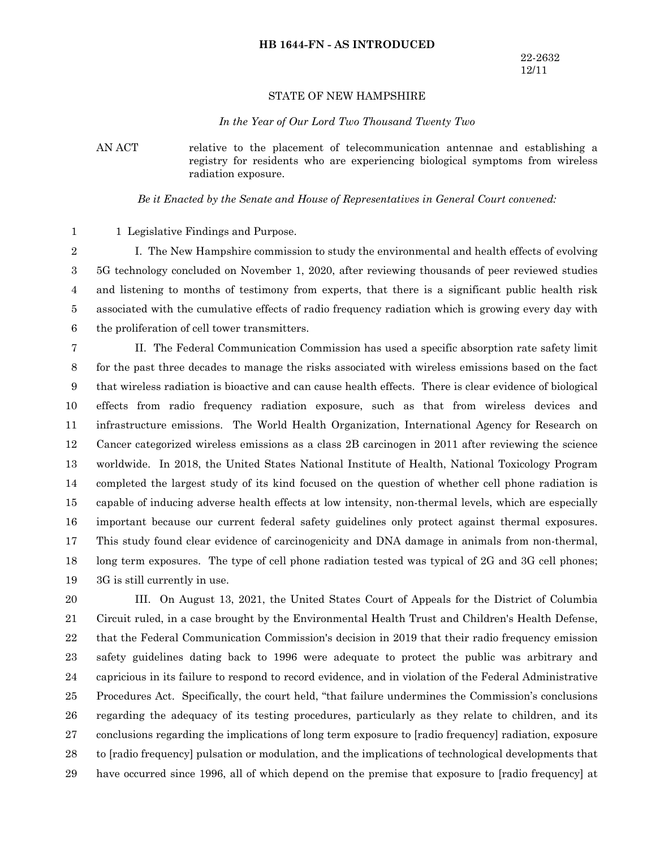### **HB 1644-FN - AS INTRODUCED**

### STATE OF NEW HAMPSHIRE

#### *In the Year of Our Lord Two Thousand Twenty Two*

AN ACT relative to the placement of telecommunication antennae and establishing a registry for residents who are experiencing biological symptoms from wireless radiation exposure.

*Be it Enacted by the Senate and House of Representatives in General Court convened:*

1 Legislative Findings and Purpose. 1

I. The New Hampshire commission to study the environmental and health effects of evolving 5G technology concluded on November 1, 2020, after reviewing thousands of peer reviewed studies and listening to months of testimony from experts, that there is a significant public health risk associated with the cumulative effects of radio frequency radiation which is growing every day with the proliferation of cell tower transmitters. 2 3 4 5 6

II. The Federal Communication Commission has used a specific absorption rate safety limit for the past three decades to manage the risks associated with wireless emissions based on the fact that wireless radiation is bioactive and can cause health effects. There is clear evidence of biological effects from radio frequency radiation exposure, such as that from wireless devices and infrastructure emissions. The World Health Organization, International Agency for Research on Cancer categorized wireless emissions as a class 2B carcinogen in 2011 after reviewing the science worldwide. In 2018, the United States National Institute of Health, National Toxicology Program completed the largest study of its kind focused on the question of whether cell phone radiation is capable of inducing adverse health effects at low intensity, non-thermal levels, which are especially important because our current federal safety guidelines only protect against thermal exposures. This study found clear evidence of carcinogenicity and DNA damage in animals from non-thermal, long term exposures. The type of cell phone radiation tested was typical of 2G and 3G cell phones; 3G is still currently in use. 7 8 9 10 11 12 13 14 15 16 17 18 19

III. On August 13, 2021, the United States Court of Appeals for the District of Columbia Circuit ruled, in a case brought by the Environmental Health Trust and Children's Health Defense, that the Federal Communication Commission's decision in 2019 that their radio frequency emission safety guidelines dating back to 1996 were adequate to protect the public was arbitrary and capricious in its failure to respond to record evidence, and in violation of the Federal Administrative Procedures Act. Specifically, the court held, "that failure undermines the Commission's conclusions regarding the adequacy of its testing procedures, particularly as they relate to children, and its conclusions regarding the implications of long term exposure to [radio frequency] radiation, exposure to [radio frequency] pulsation or modulation, and the implications of technological developments that have occurred since 1996, all of which depend on the premise that exposure to [radio frequency] at 20 21 22 23 24 25 26 27 28 29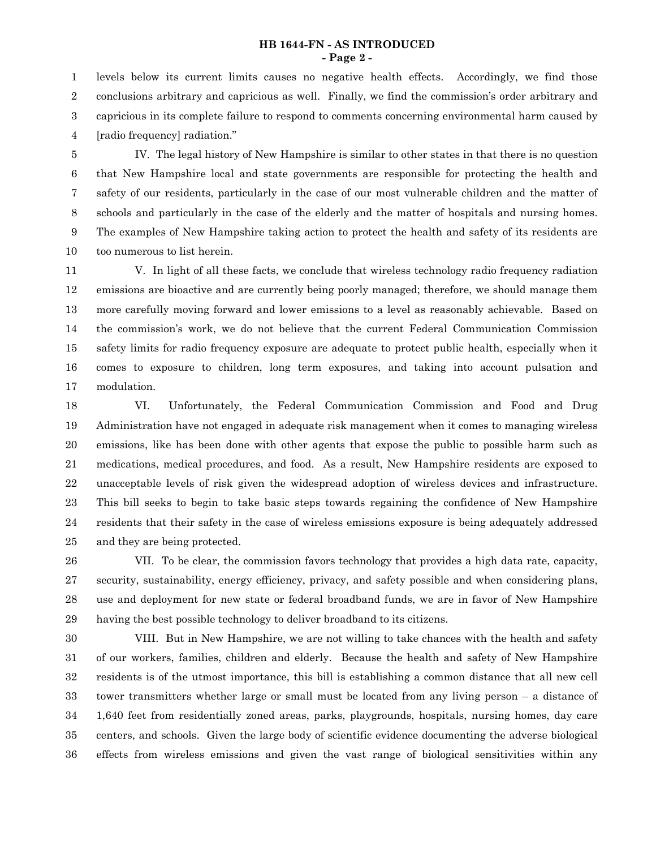## **HB 1644-FN - AS INTRODUCED - Page 2 -**

levels below its current limits causes no negative health effects. Accordingly, we find those conclusions arbitrary and capricious as well. Finally, we find the commission's order arbitrary and capricious in its complete failure to respond to comments concerning environmental harm caused by [radio frequency] radiation." 1 2 3 4

IV. The legal history of New Hampshire is similar to other states in that there is no question that New Hampshire local and state governments are responsible for protecting the health and safety of our residents, particularly in the case of our most vulnerable children and the matter of schools and particularly in the case of the elderly and the matter of hospitals and nursing homes. The examples of New Hampshire taking action to protect the health and safety of its residents are too numerous to list herein. 5 6 7 8 9 10

V. In light of all these facts, we conclude that wireless technology radio frequency radiation emissions are bioactive and are currently being poorly managed; therefore, we should manage them more carefully moving forward and lower emissions to a level as reasonably achievable. Based on the commission's work, we do not believe that the current Federal Communication Commission safety limits for radio frequency exposure are adequate to protect public health, especially when it comes to exposure to children, long term exposures, and taking into account pulsation and modulation. 11 12 13 14 15 16 17

VI. Unfortunately, the Federal Communication Commission and Food and Drug Administration have not engaged in adequate risk management when it comes to managing wireless emissions, like has been done with other agents that expose the public to possible harm such as medications, medical procedures, and food. As a result, New Hampshire residents are exposed to unacceptable levels of risk given the widespread adoption of wireless devices and infrastructure. This bill seeks to begin to take basic steps towards regaining the confidence of New Hampshire residents that their safety in the case of wireless emissions exposure is being adequately addressed and they are being protected. 18 19 20 21 22 23 24 25

VII. To be clear, the commission favors technology that provides a high data rate, capacity, security, sustainability, energy efficiency, privacy, and safety possible and when considering plans, use and deployment for new state or federal broadband funds, we are in favor of New Hampshire having the best possible technology to deliver broadband to its citizens. 26 27 28 29

VIII. But in New Hampshire, we are not willing to take chances with the health and safety of our workers, families, children and elderly. Because the health and safety of New Hampshire residents is of the utmost importance, this bill is establishing a common distance that all new cell tower transmitters whether large or small must be located from any living person – a distance of 1,640 feet from residentially zoned areas, parks, playgrounds, hospitals, nursing homes, day care centers, and schools. Given the large body of scientific evidence documenting the adverse biological effects from wireless emissions and given the vast range of biological sensitivities within any 30 31 32 33 34 35 36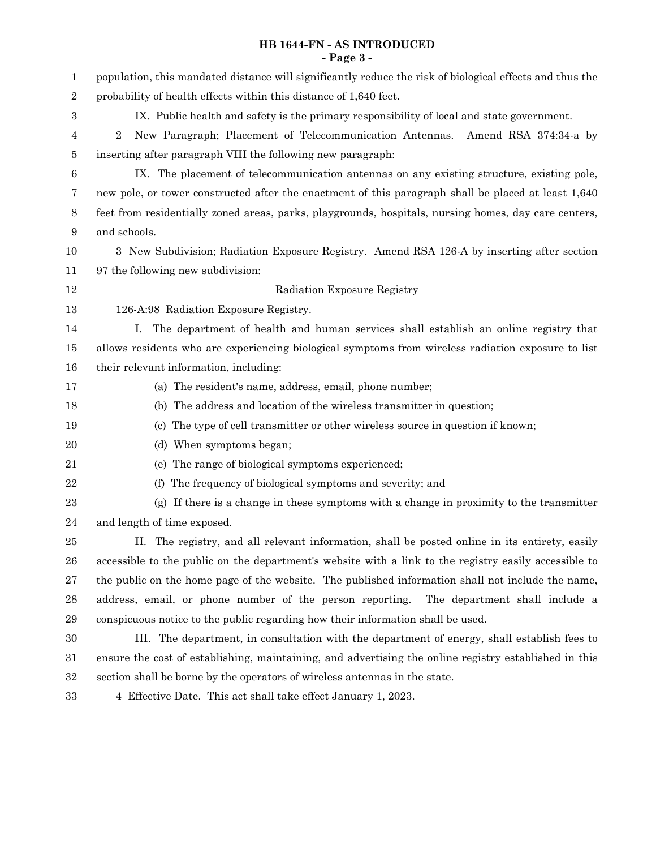## **HB 1644-FN - AS INTRODUCED - Page 3 -**

| 1      | population, this mandated distance will significantly reduce the risk of biological effects and thus the |  |  |  |  |
|--------|----------------------------------------------------------------------------------------------------------|--|--|--|--|
| $\,2$  | probability of health effects within this distance of 1,640 feet.                                        |  |  |  |  |
| 3      | IX. Public health and safety is the primary responsibility of local and state government.                |  |  |  |  |
| 4      | New Paragraph; Placement of Telecommunication Antennas. Amend RSA 374:34-a by<br>$\overline{2}$          |  |  |  |  |
| 5      | inserting after paragraph VIII the following new paragraph:                                              |  |  |  |  |
| 6      | IX. The placement of telecommunication antennas on any existing structure, existing pole,                |  |  |  |  |
| 7      | new pole, or tower constructed after the enactment of this paragraph shall be placed at least 1,640      |  |  |  |  |
| 8      | feet from residentially zoned areas, parks, playgrounds, hospitals, nursing homes, day care centers,     |  |  |  |  |
| 9      | and schools.                                                                                             |  |  |  |  |
| 10     | 3 New Subdivision; Radiation Exposure Registry. Amend RSA 126-A by inserting after section               |  |  |  |  |
| 11     | 97 the following new subdivision:                                                                        |  |  |  |  |
| 12     | Radiation Exposure Registry                                                                              |  |  |  |  |
| 13     | 126-A:98 Radiation Exposure Registry.                                                                    |  |  |  |  |
| 14     | The department of health and human services shall establish an online registry that<br>$\perp$ .         |  |  |  |  |
| 15     | allows residents who are experiencing biological symptoms from wireless radiation exposure to list       |  |  |  |  |
| 16     | their relevant information, including:                                                                   |  |  |  |  |
| 17     | (a) The resident's name, address, email, phone number;                                                   |  |  |  |  |
| 18     | (b) The address and location of the wireless transmitter in question;                                    |  |  |  |  |
| 19     | (c) The type of cell transmitter or other wireless source in question if known;                          |  |  |  |  |
| 20     | (d) When symptoms began;                                                                                 |  |  |  |  |
| 21     | (e) The range of biological symptoms experienced;                                                        |  |  |  |  |
| 22     | The frequency of biological symptoms and severity; and<br>(f)                                            |  |  |  |  |
| 23     | (g) If there is a change in these symptoms with a change in proximity to the transmitter                 |  |  |  |  |
| 24     | and length of time exposed.                                                                              |  |  |  |  |
| 25     | II. The registry, and all relevant information, shall be posted online in its entirety, easily           |  |  |  |  |
| 26     | accessible to the public on the department's website with a link to the registry easily accessible to    |  |  |  |  |
| 27     | the public on the home page of the website. The published information shall not include the name,        |  |  |  |  |
| 28     | address, email, or phone number of the person reporting. The department shall include a                  |  |  |  |  |
| 29     | conspicuous notice to the public regarding how their information shall be used.                          |  |  |  |  |
| 30     | III. The department, in consultation with the department of energy, shall establish fees to              |  |  |  |  |
| 31     | ensure the cost of establishing, maintaining, and advertising the online registry established in this    |  |  |  |  |
| $32\,$ | section shall be borne by the operators of wireless antennas in the state.                               |  |  |  |  |
| $33\,$ | 4 Effective Date. This act shall take effect January 1, 2023.                                            |  |  |  |  |
|        |                                                                                                          |  |  |  |  |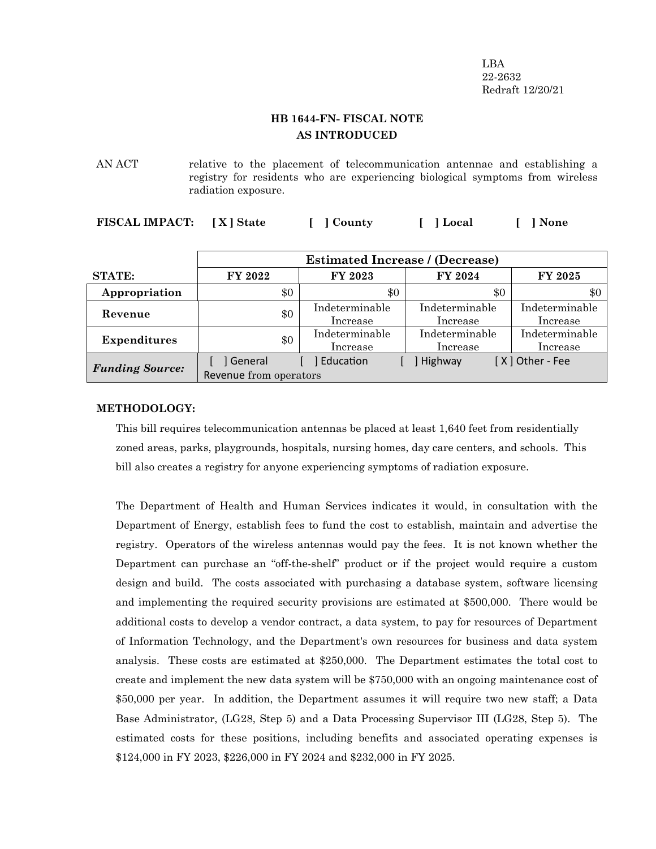LBA 22-2632 Redraft 12/20/21

## **HB 1644-FN- FISCAL NOTE AS INTRODUCED**

AN ACT relative to the placement of telecommunication antennae and establishing a registry for residents who are experiencing biological symptoms from wireless radiation exposure.

| FISCAL IMPACT: [X] State |  | [ ] County | [ ] Local | [ ] None |
|--------------------------|--|------------|-----------|----------|
|--------------------------|--|------------|-----------|----------|

|                        | <b>Estimated Increase / (Decrease)</b> |                            |                            |                            |
|------------------------|----------------------------------------|----------------------------|----------------------------|----------------------------|
| <b>STATE:</b>          | FY 2022                                | FY 2023                    | FY 2024                    | <b>FY 2025</b>             |
| Appropriation          | \$0                                    | \$0                        | \$0                        | \$0                        |
| Revenue                | \$0                                    | Indeterminable<br>Increase | Indeterminable<br>Increase | Indeterminable<br>Increase |
| <b>Expenditures</b>    | \$0                                    | Indeterminable<br>Increase | Indeterminable<br>Increase | Indeterminable<br>Increase |
| <b>Funding Source:</b> | ] General<br>Revenue from operators    | Education                  | Highway                    | [X] Other - Fee            |

## **METHODOLOGY:**

This bill requires telecommunication antennas be placed at least 1,640 feet from residentially zoned areas, parks, playgrounds, hospitals, nursing homes, day care centers, and schools. This bill also creates a registry for anyone experiencing symptoms of radiation exposure.

The Department of Health and Human Services indicates it would, in consultation with the Department of Energy, establish fees to fund the cost to establish, maintain and advertise the registry. Operators of the wireless antennas would pay the fees. It is not known whether the Department can purchase an "off-the-shelf" product or if the project would require a custom design and build. The costs associated with purchasing a database system, software licensing and implementing the required security provisions are estimated at \$500,000. There would be additional costs to develop a vendor contract, a data system, to pay for resources of Department of Information Technology, and the Department's own resources for business and data system analysis. These costs are estimated at \$250,000. The Department estimates the total cost to create and implement the new data system will be \$750,000 with an ongoing maintenance cost of \$50,000 per year. In addition, the Department assumes it will require two new staff; a Data Base Administrator, (LG28, Step 5) and a Data Processing Supervisor III (LG28, Step 5). The estimated costs for these positions, including benefits and associated operating expenses is \$124,000 in FY 2023, \$226,000 in FY 2024 and \$232,000 in FY 2025.